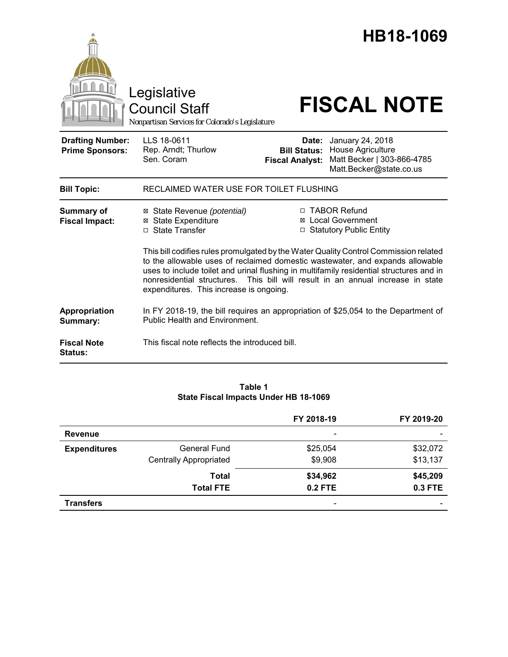|                                                   | Legislative<br><b>Council Staff</b><br>Nonpartisan Services for Colorado's Legislature                                                                                                                                                                                                                 |                                                                                                                                                                  | HB18-1069<br><b>FISCAL NOTE</b>                                                                |  |
|---------------------------------------------------|--------------------------------------------------------------------------------------------------------------------------------------------------------------------------------------------------------------------------------------------------------------------------------------------------------|------------------------------------------------------------------------------------------------------------------------------------------------------------------|------------------------------------------------------------------------------------------------|--|
| <b>Drafting Number:</b><br><b>Prime Sponsors:</b> | LLS 18-0611<br>Rep. Arndt; Thurlow<br>Sen. Coram                                                                                                                                                                                                                                                       | Date:<br><b>Bill Status:</b><br><b>Fiscal Analyst:</b>                                                                                                           | January 24, 2018<br>House Agriculture<br>Matt Becker   303-866-4785<br>Matt.Becker@state.co.us |  |
| <b>Bill Topic:</b>                                | RECLAIMED WATER USE FOR TOILET FLUSHING                                                                                                                                                                                                                                                                |                                                                                                                                                                  |                                                                                                |  |
| <b>Summary of</b><br><b>Fiscal Impact:</b>        | ⊠ State Revenue (potential)<br><b>State Expenditure</b><br>⊠<br>□ State Transfer                                                                                                                                                                                                                       | □ TABOR Refund<br><b>⊠</b> Local Government<br>□ Statutory Public Entity<br>This bill codifies rules promulgated by the Water Quality Control Commission related |                                                                                                |  |
|                                                   | to the allowable uses of reclaimed domestic wastewater, and expands allowable<br>uses to include toilet and urinal flushing in multifamily residential structures and in<br>nonresidential structures. This bill will result in an annual increase in state<br>expenditures. This increase is ongoing. |                                                                                                                                                                  |                                                                                                |  |
| Appropriation<br>Summary:                         | In FY 2018-19, the bill requires an appropriation of \$25,054 to the Department of<br><b>Public Health and Environment.</b>                                                                                                                                                                            |                                                                                                                                                                  |                                                                                                |  |
| <b>Fiscal Note</b><br>Status:                     | This fiscal note reflects the introduced bill.                                                                                                                                                                                                                                                         |                                                                                                                                                                  |                                                                                                |  |

# **Table 1 State Fiscal Impacts Under HB 18-1069**

|                     |                               | FY 2018-19                   | FY 2019-20               |
|---------------------|-------------------------------|------------------------------|--------------------------|
| <b>Revenue</b>      |                               | $\qquad \qquad \blacksquare$ | $\overline{\phantom{a}}$ |
| <b>Expenditures</b> | <b>General Fund</b>           | \$25,054                     | \$32,072                 |
|                     | <b>Centrally Appropriated</b> | \$9,908                      | \$13,137                 |
|                     | <b>Total</b>                  | \$34,962                     | \$45,209                 |
|                     | <b>Total FTE</b>              | <b>0.2 FTE</b>               | <b>0.3 FTE</b>           |
| <b>Transfers</b>    |                               | -                            | $\overline{\phantom{0}}$ |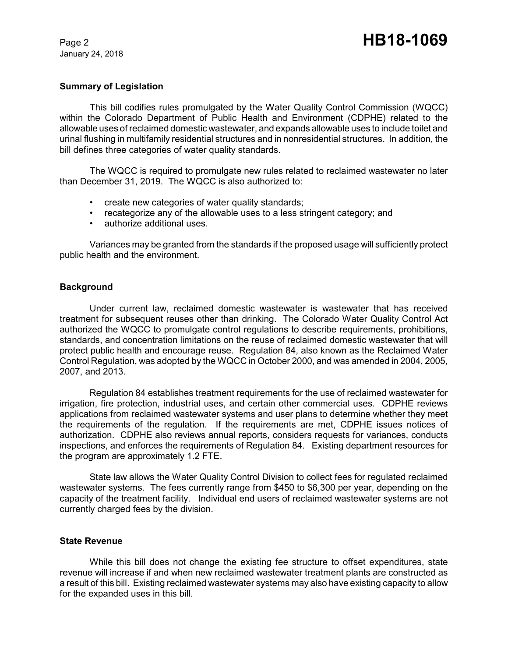January 24, 2018

# **Summary of Legislation**

This bill codifies rules promulgated by the Water Quality Control Commission (WQCC) within the Colorado Department of Public Health and Environment (CDPHE) related to the allowable uses of reclaimed domestic wastewater, and expands allowable uses to include toilet and urinal flushing in multifamily residential structures and in nonresidential structures. In addition, the bill defines three categories of water quality standards.

The WQCC is required to promulgate new rules related to reclaimed wastewater no later than December 31, 2019. The WQCC is also authorized to:

- create new categories of water quality standards;
- recategorize any of the allowable uses to a less stringent category; and
- authorize additional uses.

Variances may be granted from the standards if the proposed usage will sufficiently protect public health and the environment.

# **Background**

Under current law, reclaimed domestic wastewater is wastewater that has received treatment for subsequent reuses other than drinking. The Colorado Water Quality Control Act authorized the WQCC to promulgate control regulations to describe requirements, prohibitions, standards, and concentration limitations on the reuse of reclaimed domestic wastewater that will protect public health and encourage reuse. Regulation 84, also known as the Reclaimed Water Control Regulation, was adopted by the WQCC in October 2000, and was amended in 2004, 2005, 2007, and 2013.

Regulation 84 establishes treatment requirements for the use of reclaimed wastewater for irrigation, fire protection, industrial uses, and certain other commercial uses. CDPHE reviews applications from reclaimed wastewater systems and user plans to determine whether they meet the requirements of the regulation. If the requirements are met, CDPHE issues notices of authorization. CDPHE also reviews annual reports, considers requests for variances, conducts inspections, and enforces the requirements of Regulation 84. Existing department resources for the program are approximately 1.2 FTE.

State law allows the Water Quality Control Division to collect fees for regulated reclaimed wastewater systems. The fees currently range from \$450 to \$6,300 per year, depending on the capacity of the treatment facility. Individual end users of reclaimed wastewater systems are not currently charged fees by the division.

# **State Revenue**

While this bill does not change the existing fee structure to offset expenditures, state revenue will increase if and when new reclaimed wastewater treatment plants are constructed as a result of this bill. Existing reclaimed wastewater systems may also have existing capacity to allow for the expanded uses in this bill.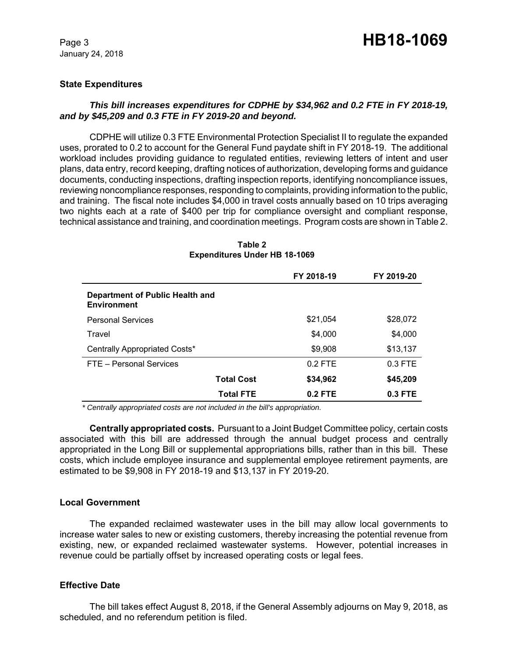January 24, 2018

# **State Expenditures**

# *This bill increases expenditures for CDPHE by \$34,962 and 0.2 FTE in FY 2018-19, and by \$45,209 and 0.3 FTE in FY 2019-20 and beyond.*

CDPHE will utilize 0.3 FTE Environmental Protection Specialist II to regulate the expanded uses, prorated to 0.2 to account for the General Fund paydate shift in FY 2018-19. The additional workload includes providing guidance to regulated entities, reviewing letters of intent and user plans, data entry, record keeping, drafting notices of authorization, developing forms and guidance documents, conducting inspections, drafting inspection reports, identifying noncompliance issues, reviewing noncompliance responses, responding to complaints, providing information to the public, and training. The fiscal note includes \$4,000 in travel costs annually based on 10 trips averaging two nights each at a rate of \$400 per trip for compliance oversight and compliant response, technical assistance and training, and coordination meetings. Program costs are shown in Table 2.

|                                                       | FY 2018-19 | FY 2019-20 |
|-------------------------------------------------------|------------|------------|
| Department of Public Health and<br><b>Environment</b> |            |            |
| <b>Personal Services</b>                              | \$21,054   | \$28,072   |
| Travel                                                | \$4,000    | \$4,000    |
| Centrally Appropriated Costs*                         | \$9,908    | \$13,137   |
| FTE - Personal Services                               | $0.2$ FTE  | $0.3$ FTE  |
| <b>Total Cost</b>                                     | \$34,962   | \$45,209   |
| <b>Total FTE</b>                                      | $0.2$ FTE  | $0.3$ FTE  |

#### **Table 2 Expenditures Under HB 18-1069**

 *\* Centrally appropriated costs are not included in the bill's appropriation.*

**Centrally appropriated costs.** Pursuant to a Joint Budget Committee policy, certain costs associated with this bill are addressed through the annual budget process and centrally appropriated in the Long Bill or supplemental appropriations bills, rather than in this bill. These costs, which include employee insurance and supplemental employee retirement payments, are estimated to be \$9,908 in FY 2018-19 and \$13,137 in FY 2019-20.

# **Local Government**

The expanded reclaimed wastewater uses in the bill may allow local governments to increase water sales to new or existing customers, thereby increasing the potential revenue from existing, new, or expanded reclaimed wastewater systems. However, potential increases in revenue could be partially offset by increased operating costs or legal fees.

# **Effective Date**

The bill takes effect August 8, 2018, if the General Assembly adjourns on May 9, 2018, as scheduled, and no referendum petition is filed.